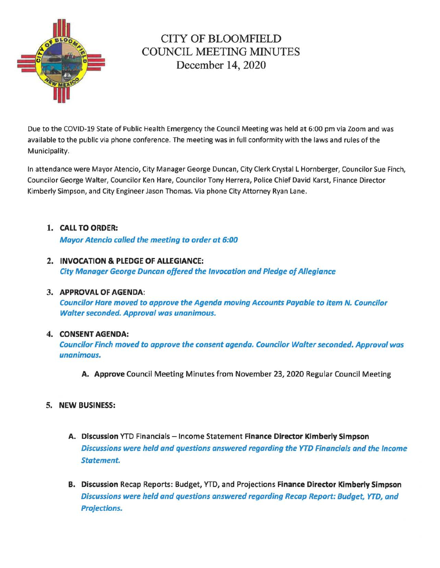

# CITY OF BLOOMFIELD COUNCIL MEETING MINUTES December 14, 2020

Due to the COVID-19 State of Public Health Emergency the Council Meeting was held at 6:00 pm via Zoom and was available to the public via phone conference. The meeting was in full conformity with the laws and rules of the Municipality.

In attendance were Mayor Atencio, City Manager George Duncan, City Clerk Crystal L Hornberger, Councilor Sue Finch, Councilor George Walter, Councilor Ken Hare, Councilor Tony Herrera, Police Chief David Karst, Finance Director Kimberly Simpson, and City Engineer Jason Thomas. Via phone City Attorney Ryan Lane.

- 1. CALL TO ORDER: Mayor Atencio called the meeting to order at 6:00
- 2. INVOCATION & PLEDGE OF ALLEGIANCE: City Manager George Duncan offered the Invocation and Pledge of Allegiance

## 3. APPROVAL OF AGENDA:

Councilor Hare moved to approve the Agenda moving Accounts Payable to item N. Councilor Walter seconded. Approval was unanimous.

## 4. CONSENT AGENDA:

Councilor Finch moved to approve the consent agenda. Councilor Walter seconded. Approval was unanimous.

A. Approve Council Meeting Minutes from November 23, 2020 Regular Council Meeting

# 5. NEW BUSINESS:

- A. Discussion YTD Financials Income Statement Finance Director Kimberly Simpson Discussions were held and questions answered regarding the YTD Financials and the Income Statement.
- B. Discussion Recap Reports: Budget, *YTD,* and Projections Finance Director Kimberly Simpson Discussions were held and questions answered regarding Recap Report: Budget, YTD, and Projections.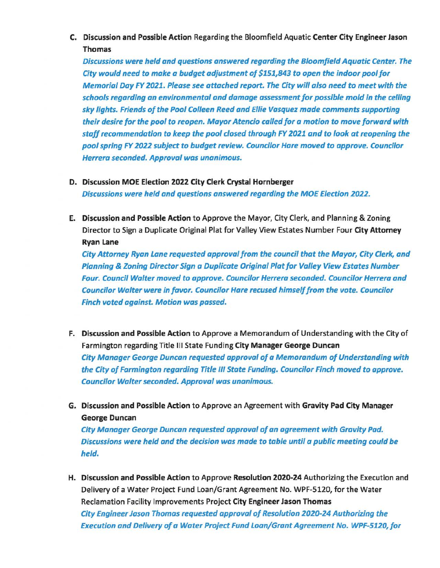C. Discussion and Possible Action Regarding the Bloomfield Aquatic Center City Engineer Jason Thomas

Discussions were held and questions answered regarding the Bloomfield Aquatic Center. The City would need to make a budget adjustment of \$1511843 to open the indoor pool for Memorial Day FY 2021. Please see attached report. The City will also need to meet with the schools regarding an environmental and damage assessment for possible mold in the celling sky lights. Friends of the Pool Colleen Reed and Ellie Vasquez made comments supporting their desire for the pool to reopen. Mayor Atencio called for a motion to move forward with staff recommendation to keep the pool closed through FY 2021 and to look at reopening the pool spring FY 2022 subject to budget review. Councilor Hare moved to approve. Councilor Herrera seconded. Approval was unanimous.

- D. Discussion MOE Election 2022 City Clerk Crystal Hornberger Discussions were held and questions answered regarding the MOE Election 2022.
- E. Discussion and Possible Action to Approve the Mayor, City Clerk, and Planning & Zoning Director to Sign a Duplicate Original Plat for Valley View Estates Number Four City Attorney Ryan Lane

City Attorney Ryan Lane requested approval from the council that the Mayor, City Clerk, and Planning & Zoning Director Sign a Duplicate Original Plat for Valley View Estates Number Four. Council Walter moved to approve. Councilor Herrera seconded. Councilor Herrera and Councilor Walter were in favor. Councilor Hare recused himself from the vote. Councilor Finch voted against. Motion was passed.

- F. Discussion and Possible Action to Approve a Memorandum of Understanding with the City of Farmington regarding Title Ill State Funding City Manager George Duncan City Manager George Duncan requested approval of a Memorandum of Understanding with the City of Farmington regarding Title Ill State Funding. Councilor Finch moved to approve. Councilor Walter seconded. Approval was unanimous.
- G. Discussion and Possible Action to Approve an Agreement with Gravity Pad City Manager George Duncan

City Manager George Duncan requested approval of an agreement with Gravity Pad. Discussions were held and the decision was made to table until a public meeting could be held.

H. Discussion and Possible Action to Approve Resolution 2020-24 Authorizing the Execution and Delivery of a Water Project Fund Loan/Grant Agreement No. WPF-5120, for the Water Reclamation Facility Improvements Project City Engineer Jason Thomas City Engineer Jason Thomas requested approval of Resolution 2020-24 Authorizing the Execution and Delivery of a Water Project Fund Loan/Grant Agreement No. WPF-5120, for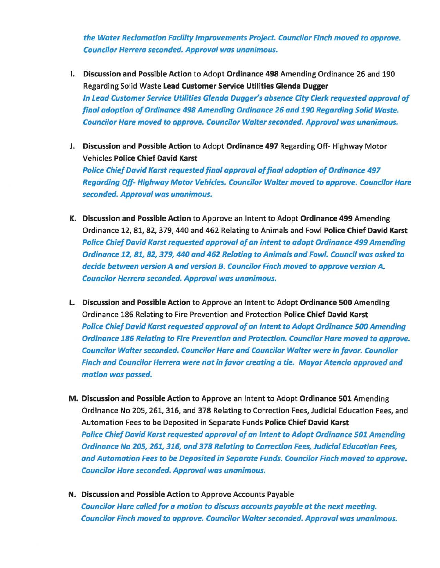the Water Reclamation Facility Improvements Project. Councilor Finch moved to approve. Councilor Herrera seconded. Approval was unanimous.

- I. Discussion and Possible Action to Adopt Ordinance 498 Amending Ordinance 26 and 190 Regarding Solid Waste Lead Customer Service Utilities Glenda Dugger In Lead Customer Service Utilities Glenda Dugger's absence City Clerk requested approval of final adoption of Ordinance 498 Amending Ordinance 26 and 190 Regarding Solid Waste. Councilor Hare moved to approve. Councilor Walter seconded. Approval was unanimous.
- J. Discussion and Possible Action to Adopt Ordinance 497 Regarding Off- Highway Motor Vehicles Police Chief David Karst Police Chief David Karst requested final approval of final adoption of Ordinance 497 Regarding Off- Highway Motor Vehicles. Councilor Walter moved to approve. Councilor Hare seconded. Approval was unanimous.
- K. Discussion and Possible Action to Approve an Intent to Adopt Ordinance 499 Amending Ordinance 12, 81, 82, 379, 440 and 462 Relating to Animals and Fowl Police Chief David Karst Police Chief David Karst requested approval of an intent to adopt Ordinance 499 Amending Ordinance 12, 81, 82, 379, 440 and 462 Relating to Animals and Fowl. Council was asked to decide between version A and version B. Councilor Finch moved to approve version A. Councilor Herrera seconded. Approval was unanimous.
- L. Discussion and Possible Action to Approve an Intent to Adopt Ordinance 500 Amending Ordinance 186 Relating to Fire Prevention and Protection Police Chief David Karst Police Chief David Karst requested approval of an Intent to Adopt Ordinance 500 Amending Ordinance 186 Relating to Fire Prevention and Protection. Councilor Hare moved to approve. Councilor Walter seconded. Councilor Hare and Councilor Walter were in favor. Councilor Finch and Councilor Herrera were not in favor creating a tie. Mayor Atencio approved and motion was passed.
- M. Discussion and Possible Action to Approve an Intent to Adopt Ordinance 501 Amending Ordinance No 205, 261, 316, and 378 Relating to Correction Fees, Judicial Education Fees, and Automation Fees to be Deposited in Separate Funds Police Chief David Karst Police Chief David Karst requested approval of an Intent to Adopt Ordinance 501 Amending Ordinance No 205*1* 261, 316, and 378 Relating to Correction Fees, Judicial Education Fees, and Automation Fees to be Deposited in Separate Funds. Councilor Finch moved to approve. Councilor Hare seconded. Approval was unanimous.
- N. Discussion and Possible Action to Approve Accounts Payable Councilor Hare called for a motion to discuss accounts payable at the next meeting. Councilor Finch moved to approve. Councilor Walter seconded. Approval was unanimous.